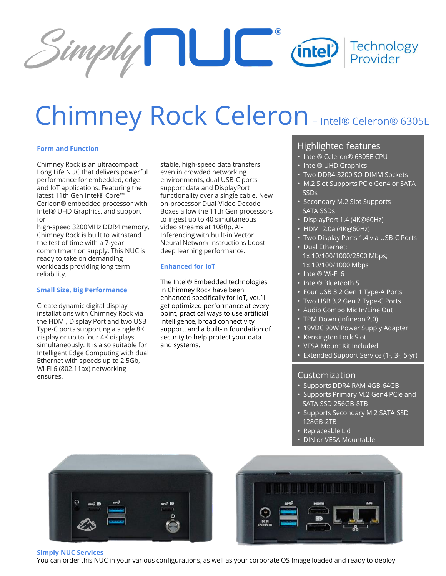

# Chimney Rock Celeron–Intel® Celeron® 6305E

#### **Form and Function**

Chimney Rock is an ultracompact Long Life NUC that delivers powerful performance for embedded, edge and IoT applications. Featuring the latest 11th Gen Intel® Core™ Cerleon® embedded processor with Intel® UHD Graphics, and support for

high-speed 3200MHz DDR4 memory, Chimney Rock is built to withstand the test of time with a 7-year commitment on supply. This NUC is ready to take on demanding workloads providing long term reliability.

### **Small Size, Big Performance**

Create dynamic digital display installations with Chimney Rock via the HDMI, Display Port and two USB Type-C ports supporting a single 8K display or up to four 4K displays simultaneously. It is also suitable for Intelligent Edge Computing with dual Ethernet with speeds up to 2.5Gb, Wi-Fi 6 (802.11ax) networking ensures.

stable, high-speed data transfers even in crowded networking environments, dual USB-C ports support data and DisplayPort functionality over a single cable. New on-processor Dual-Video Decode Boxes allow the 11th Gen processors to ingest up to 40 simultaneous video streams at 1080p. AI-Inferencing with built-in Vector Neural Network instructions boost deep learning performance.

#### **Enhanced for IoT**

The Intel® Embedded technologies in Chimney Rock have been enhanced specifically for IoT, you'll get optimized performance at every point, practical ways to use artificial intelligence, broad connectivity support, and a built-in foundation of security to help protect your data and systems.

## Highlighted features

- Intel® Celeron® 6305E CPU
- Intel® UHD Graphics
- Two DDR4-3200 SO-DIMM Sockets
- M.2 Slot Supports PCIe Gen4 or SATA SSDs
- Secondary M.2 Slot Supports SATA SSDs
- DisplayPort 1.4 (4K@60Hz)
- HDMI 2.0a (4K@60Hz)
- Two Display Ports 1.4 via USB-C Ports
- Dual Ethernet: 1x 10/100/1000/2500 Mbps; 1x 10/100/1000 Mbps
- Intel® Wi-Fi 6
- Intel® Bluetooth 5
- Four USB 3.2 Gen 1 Type-A Ports
- Two USB 3.2 Gen 2 Type-C Ports
- Audio Combo Mic In/Line Out
- TPM Down (Infineon 2.0)
- 19VDC 90W Power Supply Adapter
- Kensington Lock Slot
- VESA Mount Kit Included
- Extended Support Service (1-, 3-, 5-yr)

## Customization

- Supports DDR4 RAM 4GB-64GB
- Supports Primary M.2 Gen4 PCIe and SATA SSD 256GB-8TB
- Supports Secondary M.2 SATA SSD 128GB-2TB
- Replaceable Lid
- DIN or VESA Mountable





**Simply NUC Services**

You can order this NUC in your various configurations, as well as your corporate OS Image loaded and ready to deploy.